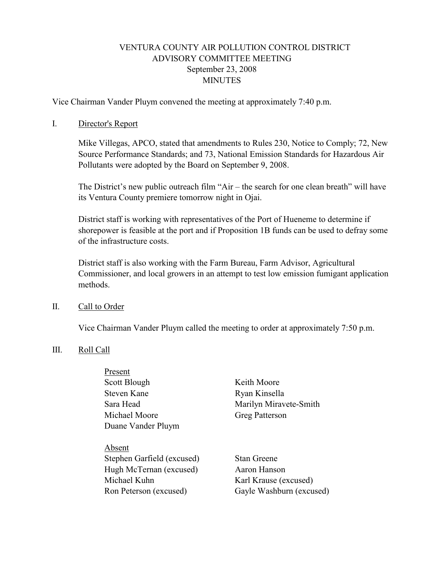# VENTURA COUNTY AIR POLLUTION CONTROL DISTRICT ADVISORY COMMITTEE MEETING September 23, 2008 **MINUTES**

Vice Chairman Vander Pluym convened the meeting at approximately 7:40 p.m.

### I. Director's Report

Mike Villegas, APCO, stated that amendments to Rules 230, Notice to Comply; 72, New Source Performance Standards; and 73, National Emission Standards for Hazardous Air Pollutants were adopted by the Board on September 9, 2008.

The District's new public outreach film "Air – the search for one clean breath" will have its Ventura County premiere tomorrow night in Ojai.

District staff is working with representatives of the Port of Hueneme to determine if shorepower is feasible at the port and if Proposition 1B funds can be used to defray some of the infrastructure costs.

District staff is also working with the Farm Bureau, Farm Advisor, Agricultural Commissioner, and local growers in an attempt to test low emission fumigant application methods.

#### II. Call to Order

Vice Chairman Vander Pluym called the meeting to order at approximately 7:50 p.m.

### III. Roll Call

Present

| rieseiit                   |                          |
|----------------------------|--------------------------|
| Scott Blough               | Keith Moore              |
| Steven Kane                | Ryan Kinsella            |
| Sara Head                  | Marilyn Miravete-Smith   |
| Michael Moore              | Greg Patterson           |
| Duane Vander Pluym         |                          |
|                            |                          |
| Absent                     |                          |
| Stephen Garfield (excused) | <b>Stan Greene</b>       |
| Hugh McTernan (excused)    | Aaron Hanson             |
| Michael Kuhn               | Karl Krause (excused)    |
| Ron Peterson (excused)     | Gayle Washburn (excused) |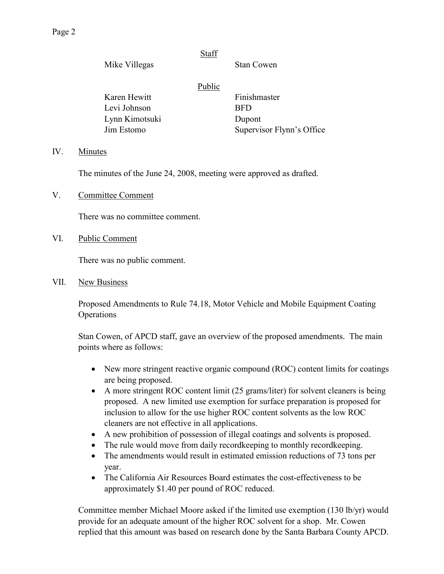# **Staff**

Mike Villegas Stan Cowen

## **Public**

Karen Hewitt Finishmaster Levi Johnson BFD Lynn Kimotsuki Dupont

Jim Estomo Supervisor Flynn's Office

### IV. Minutes

The minutes of the June 24, 2008, meeting were approved as drafted.

V. Committee Comment

There was no committee comment.

VI. Public Comment

There was no public comment.

VII. New Business

 Proposed Amendments to Rule 74.18, Motor Vehicle and Mobile Equipment Coating Operations

Stan Cowen, of APCD staff, gave an overview of the proposed amendments. The main points where as follows:

- New more stringent reactive organic compound (ROC) content limits for coatings are being proposed.
- A more stringent ROC content limit (25 grams/liter) for solvent cleaners is being proposed. A new limited use exemption for surface preparation is proposed for inclusion to allow for the use higher ROC content solvents as the low ROC cleaners are not effective in all applications.
- A new prohibition of possession of illegal coatings and solvents is proposed.
- The rule would move from daily record keeping to monthly record keeping.
- The amendments would result in estimated emission reductions of 73 tons per year.
- The California Air Resources Board estimates the cost-effectiveness to be approximately \$1.40 per pound of ROC reduced.

Committee member Michael Moore asked if the limited use exemption (130 lb/yr) would provide for an adequate amount of the higher ROC solvent for a shop. Mr. Cowen replied that this amount was based on research done by the Santa Barbara County APCD.